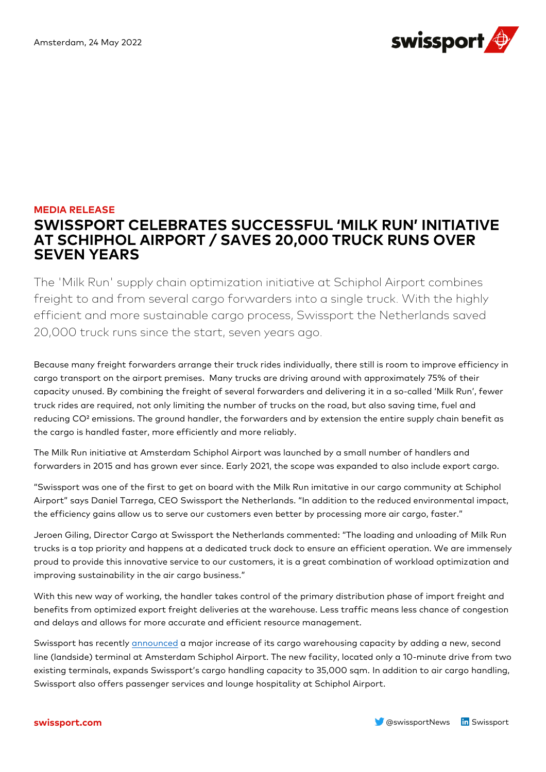

## **MEDIA RELEASE SWISSPORT CELEBRATES SUCCESSFUL 'MILK RUN' INITIATIVE AT SCHIPHOL AIRPORT / SAVES 20,000 TRUCK RUNS OVER SEVEN YEARS**

The 'Milk Run' supply chain optimization initiative at Schiphol Airport combines freight to and from several cargo forwarders into a single truck. With the highly efficient and more sustainable cargo process, Swissport the Netherlands saved 20,000 truck runs since the start, seven years ago.

Because many freight forwarders arrange their truck rides individually, there still is room to improve efficiency in cargo transport on the airport premises. Many trucks are driving around with approximately 75% of their capacity unused. By combining the freight of several forwarders and delivering it in a so-called 'Milk Run', fewer truck rides are required, not only limiting the number of trucks on the road, but also saving time, fuel and reducing CO² emissions. The ground handler, the forwarders and by extension the entire supply chain benefit as the cargo is handled faster, more efficiently and more reliably.

The Milk Run initiative at Amsterdam Schiphol Airport was launched by a small number of handlers and forwarders in 2015 and has grown ever since. Early 2021, the scope was expanded to also include export cargo.

"Swissport was one of the first to get on board with the Milk Run imitative in our cargo community at Schiphol Airport" says Daniel Tarrega, CEO Swissport the Netherlands. "In addition to the reduced environmental impact, the efficiency gains allow us to serve our customers even better by processing more air cargo, faster."

Jeroen Giling, Director Cargo at Swissport the Netherlands commented: "The loading and unloading of Milk Run trucks is a top priority and happens at a dedicated truck dock to ensure an efficient operation. We are immensely proud to provide this innovative service to our customers, it is a great combination of workload optimization and improving sustainability in the air cargo business."

With this new way of working, the handler takes control of the primary distribution phase of import freight and benefits from optimized export freight deliveries at the warehouse. Less traffic means less chance of congestion and delays and allows for more accurate and efficient resource management.

Swissport has recentl[y announced](https://www.swissport.com/en/news/current-news/2022/swissport-increases-cargo-handling-capacity-on-schiphol-airport-to-35-000-sqm) a major increase of its cargo warehousing capacity by adding a new, second line (landside) terminal at Amsterdam Schiphol Airport. The new facility, located only a 10-minute drive from two existing terminals, expands Swissport's cargo handling capacity to 35,000 sqm. In addition to air cargo handling, Swissport also offers passenger services and lounge hospitality at Schiphol Airport.